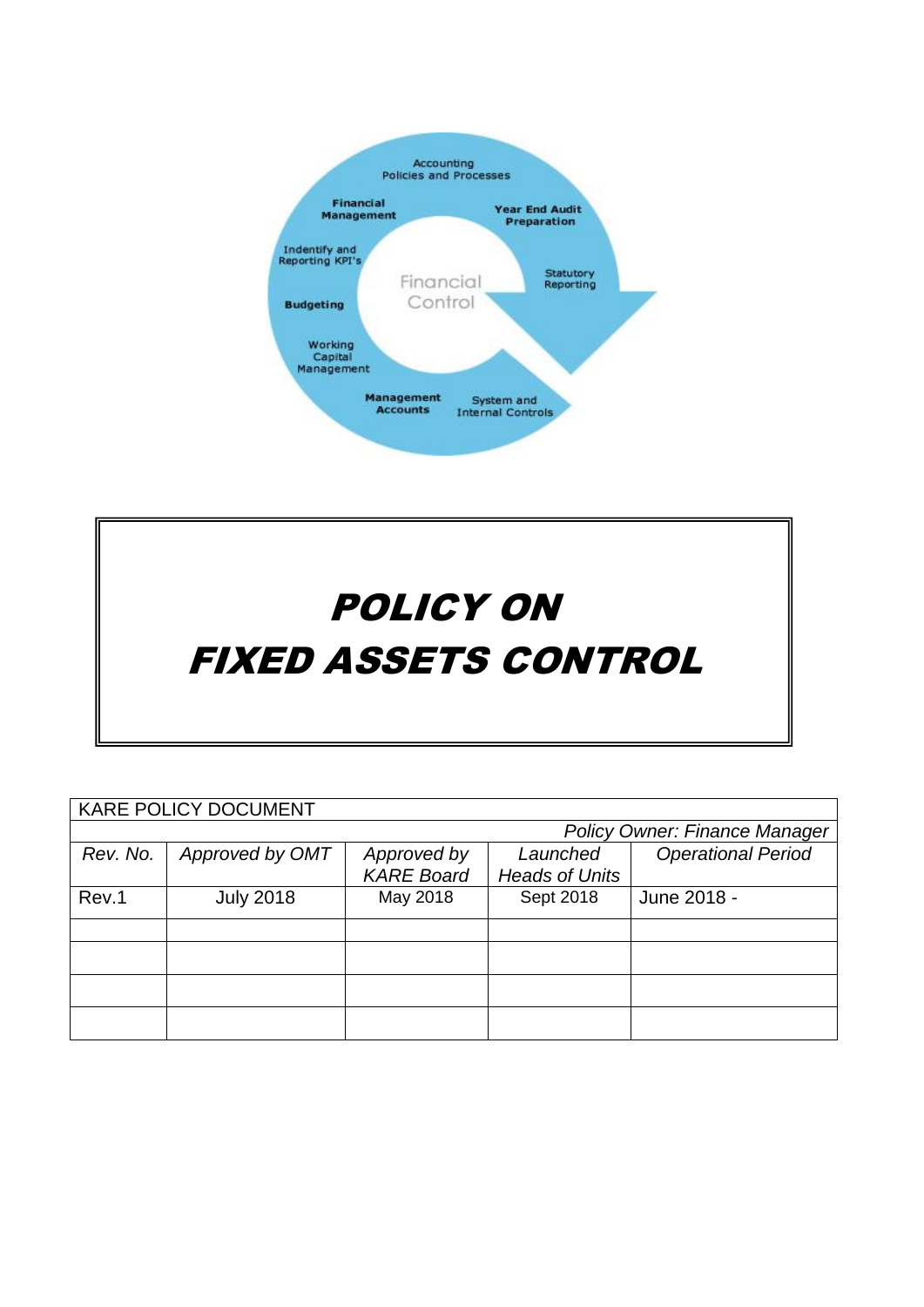



| <b>KARE POLICY DOCUMENT</b>          |                  |                   |                       |                           |  |
|--------------------------------------|------------------|-------------------|-----------------------|---------------------------|--|
| <b>Policy Owner: Finance Manager</b> |                  |                   |                       |                           |  |
| Rev. No.                             | Approved by OMT  | Approved by       | Launched              | <b>Operational Period</b> |  |
|                                      |                  | <b>KARE Board</b> | <b>Heads of Units</b> |                           |  |
| Rev.1                                | <b>July 2018</b> | May 2018          | Sept 2018             | June 2018 -               |  |
|                                      |                  |                   |                       |                           |  |
|                                      |                  |                   |                       |                           |  |
|                                      |                  |                   |                       |                           |  |
|                                      |                  |                   |                       |                           |  |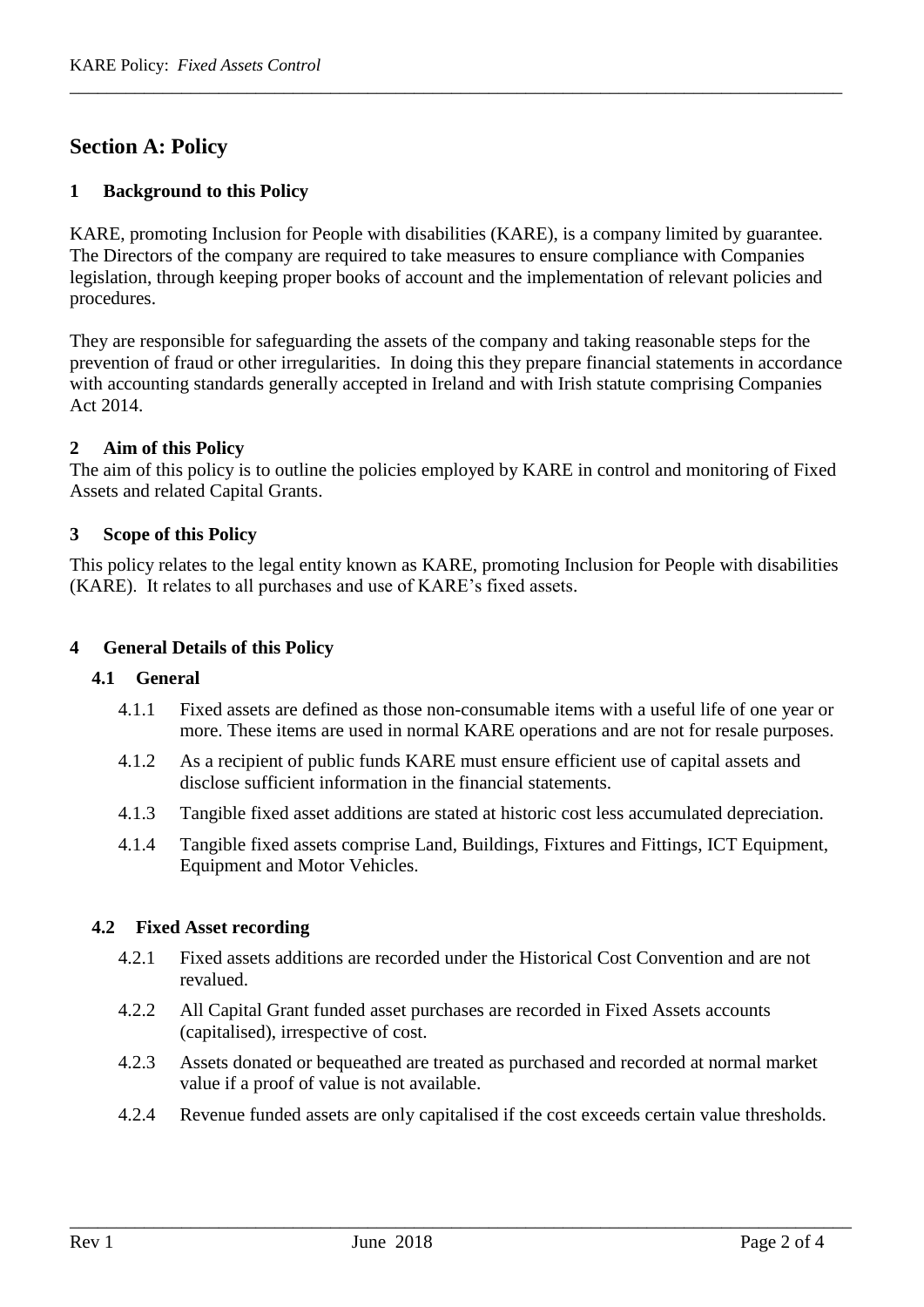# **Section A: Policy**

## **1 Background to this Policy**

KARE, promoting Inclusion for People with disabilities (KARE), is a company limited by guarantee. The Directors of the company are required to take measures to ensure compliance with Companies legislation, through keeping proper books of account and the implementation of relevant policies and procedures.

\_\_\_\_\_\_\_\_\_\_\_\_\_\_\_\_\_\_\_\_\_\_\_\_\_\_\_\_\_\_\_\_\_\_\_\_\_\_\_\_\_\_\_\_\_\_\_\_\_\_\_\_\_\_\_\_\_\_\_\_\_\_\_\_\_\_\_\_\_\_\_\_\_\_\_\_\_\_\_\_\_\_\_

They are responsible for safeguarding the assets of the company and taking reasonable steps for the prevention of fraud or other irregularities. In doing this they prepare financial statements in accordance with accounting standards generally accepted in Ireland and with Irish statute comprising Companies Act 2014.

## **2 Aim of this Policy**

The aim of this policy is to outline the policies employed by KARE in control and monitoring of Fixed Assets and related Capital Grants.

## **3 Scope of this Policy**

This policy relates to the legal entity known as KARE, promoting Inclusion for People with disabilities (KARE). It relates to all purchases and use of KARE's fixed assets.

## **4 General Details of this Policy**

#### **4.1 General**

- 4.1.1 Fixed assets are defined as those non-consumable items with a useful life of one year or more. These items are used in normal KARE operations and are not for resale purposes.
- 4.1.2 As a recipient of public funds KARE must ensure efficient use of capital assets and disclose sufficient information in the financial statements.
- 4.1.3 Tangible fixed asset additions are stated at historic cost less accumulated depreciation.
- 4.1.4 Tangible fixed assets comprise Land, Buildings, Fixtures and Fittings, ICT Equipment, Equipment and Motor Vehicles.

#### **4.2 Fixed Asset recording**

- 4.2.1 Fixed assets additions are recorded under the Historical Cost Convention and are not revalued.
- 4.2.2 All Capital Grant funded asset purchases are recorded in Fixed Assets accounts (capitalised), irrespective of cost.
- 4.2.3 Assets donated or bequeathed are treated as purchased and recorded at normal market value if a proof of value is not available.
- 4.2.4 Revenue funded assets are only capitalised if the cost exceeds certain value thresholds.

\_\_\_\_\_\_\_\_\_\_\_\_\_\_\_\_\_\_\_\_\_\_\_\_\_\_\_\_\_\_\_\_\_\_\_\_\_\_\_\_\_\_\_\_\_\_\_\_\_\_\_\_\_\_\_\_\_\_\_\_\_\_\_\_\_\_\_\_\_\_\_\_\_\_\_\_\_\_\_\_\_\_\_\_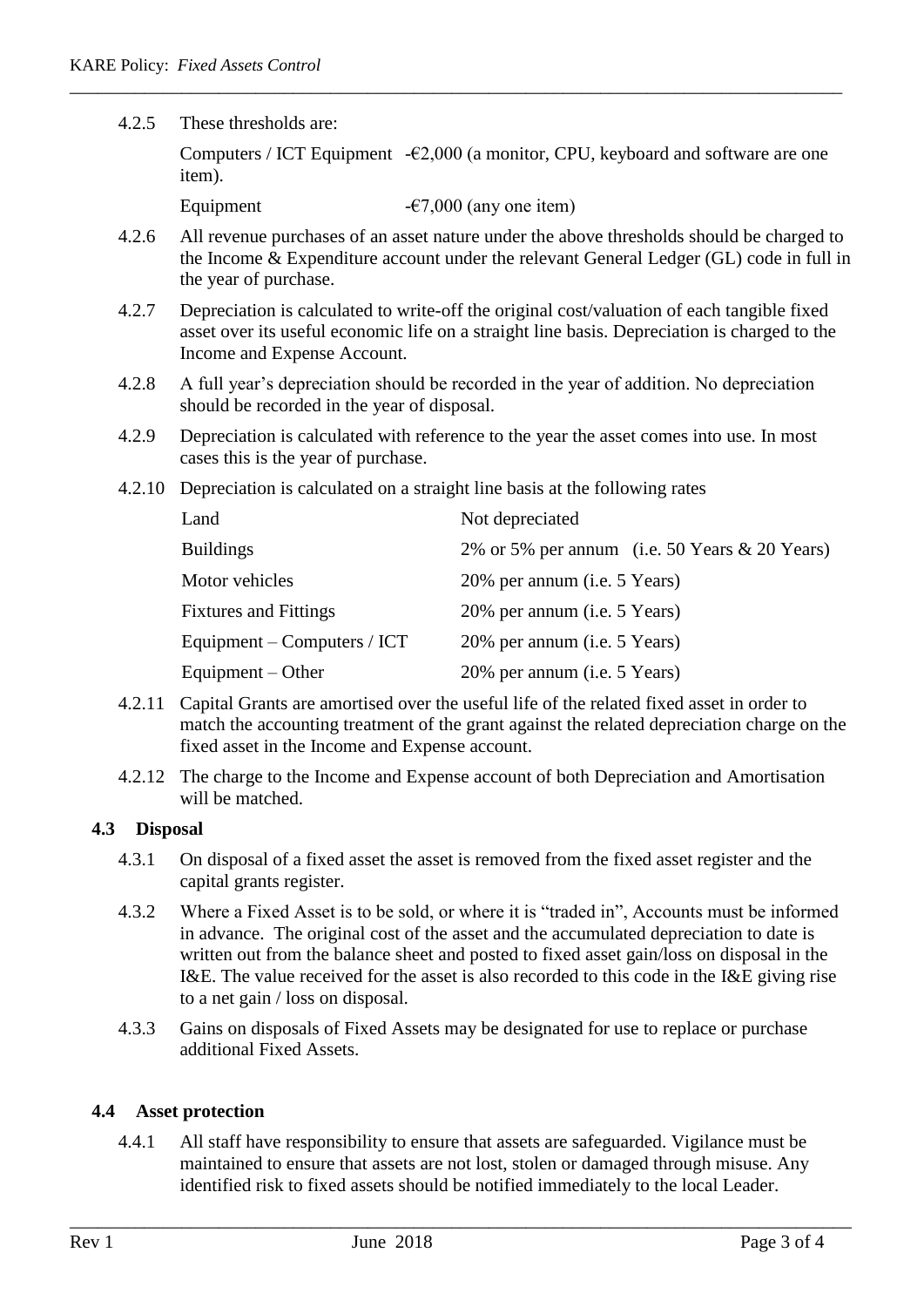4.2.5 These thresholds are:

Computers / ICT Equipment  $-\epsilon 2,000$  (a monitor, CPU, keyboard and software are one item).

Equipment  $-67,000$  (any one item)

4.2.6 All revenue purchases of an asset nature under the above thresholds should be charged to the Income & Expenditure account under the relevant General Ledger (GL) code in full in the year of purchase.

\_\_\_\_\_\_\_\_\_\_\_\_\_\_\_\_\_\_\_\_\_\_\_\_\_\_\_\_\_\_\_\_\_\_\_\_\_\_\_\_\_\_\_\_\_\_\_\_\_\_\_\_\_\_\_\_\_\_\_\_\_\_\_\_\_\_\_\_\_\_\_\_\_\_\_\_\_\_\_\_\_\_\_

- 4.2.7 Depreciation is calculated to write-off the original cost/valuation of each tangible fixed asset over its useful economic life on a straight line basis. Depreciation is charged to the Income and Expense Account.
- 4.2.8 A full year's depreciation should be recorded in the year of addition. No depreciation should be recorded in the year of disposal.
- 4.2.9 Depreciation is calculated with reference to the year the asset comes into use. In most cases this is the year of purchase.
- 4.2.10 Depreciation is calculated on a straight line basis at the following rates

| Land                         | Not depreciated                               |
|------------------------------|-----------------------------------------------|
| <b>Buildings</b>             | 2% or 5% per annum (i.e. 50 Years & 20 Years) |
| Motor vehicles               | 20% per annum (i.e. 5 Years)                  |
| <b>Fixtures and Fittings</b> | 20% per annum ( <i>i.e.</i> 5 Years)          |
| Equipment – Computers / ICT  | 20% per annum (i.e. 5 Years)                  |
| Equipment – Other            | 20% per annum (i.e. 5 Years)                  |

- 4.2.11 Capital Grants are amortised over the useful life of the related fixed asset in order to match the accounting treatment of the grant against the related depreciation charge on the fixed asset in the Income and Expense account.
- 4.2.12 The charge to the Income and Expense account of both Depreciation and Amortisation will be matched.

#### **4.3 Disposal**

- 4.3.1 On disposal of a fixed asset the asset is removed from the fixed asset register and the capital grants register.
- 4.3.2 Where a Fixed Asset is to be sold, or where it is "traded in", Accounts must be informed in advance. The original cost of the asset and the accumulated depreciation to date is written out from the balance sheet and posted to fixed asset gain/loss on disposal in the I&E. The value received for the asset is also recorded to this code in the I&E giving rise to a net gain / loss on disposal.
- 4.3.3 Gains on disposals of Fixed Assets may be designated for use to replace or purchase additional Fixed Assets.

#### **4.4 Asset protection**

4.4.1 All staff have responsibility to ensure that assets are safeguarded. Vigilance must be maintained to ensure that assets are not lost, stolen or damaged through misuse. Any identified risk to fixed assets should be notified immediately to the local Leader.

\_\_\_\_\_\_\_\_\_\_\_\_\_\_\_\_\_\_\_\_\_\_\_\_\_\_\_\_\_\_\_\_\_\_\_\_\_\_\_\_\_\_\_\_\_\_\_\_\_\_\_\_\_\_\_\_\_\_\_\_\_\_\_\_\_\_\_\_\_\_\_\_\_\_\_\_\_\_\_\_\_\_\_\_